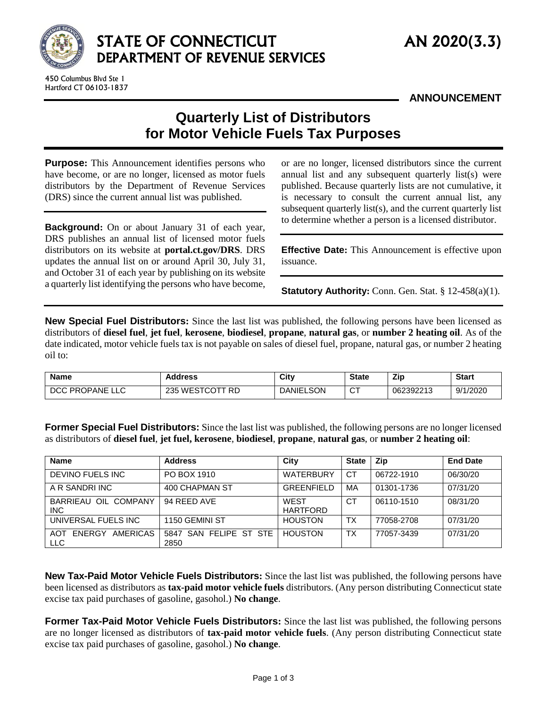

## STATE OF CONNECTICUT AN 2020(3.3) DEPARTMENT OF REVENUE SERVICES

**ANNOUNCEMENT**

## **Quarterly List of Distributors for Motor Vehicle Fuels Tax Purposes**

**Purpose:** This Announcement identifies persons who have become, or are no longer, licensed as motor fuels distributors by the Department of Revenue Services (DRS) since the current annual list was published.

**Background:** On or about January 31 of each year, DRS publishes an annual list of licensed motor fuels distributors on its website at **[portal.ct.gov/DRS](https://portal.ct.gov/DRS)**. DRS updates the annual list on or around April 30, July 31, and October 31 of each year by publishing on its website a quarterly list identifying the persons who have become,

or are no longer, licensed distributors since the current annual list and any subsequent quarterly list(s) were published. Because quarterly lists are not cumulative, it is necessary to consult the current annual list, any subsequent quarterly list(s), and the current quarterly list to determine whether a person is a licensed distributor.

**Effective Date:** This Announcement is effective upon issuance.

**Statutory Authority:** Conn. Gen. Stat. § 12-458(a)(1).

**New Special Fuel Distributors:** Since the last list was published, the following persons have been licensed as distributors of **diesel fuel**, **jet fuel**, **kerosene**, **biodiesel**, **propane**, **natural gas**, or **number 2 heating oil**. As of the date indicated, motor vehicle fuels tax is not payable on sales of diesel fuel, propane, natural gas, or number 2 heating oil to:

| <b>Name</b>     | <b>Address</b>  | City             | <b>State</b> | Zip       | <b>Start</b> |
|-----------------|-----------------|------------------|--------------|-----------|--------------|
| DCC PROPANE LLC | 235 WESTCOTT RD | <b>DANIELSON</b> | $\sim$<br>ັ  | 062392213 | 9/1/2020     |

**Former Special Fuel Distributors:** Since the last list was published, the following persons are no longer licensed as distributors of **diesel fuel**, **jet fuel, kerosene**, **biodiesel**, **propane**, **natural gas**, or **number 2 heating oil**:

| <b>Name</b>                                    | <b>Address</b>                 | City                    | <b>State</b> | Zip        | <b>End Date</b> |
|------------------------------------------------|--------------------------------|-------------------------|--------------|------------|-----------------|
| DEVINO FUELS INC                               | PO BOX 1910                    | <b>WATERBURY</b>        | <b>CT</b>    | 06722-1910 | 06/30/20        |
| A R SANDRI INC                                 | 400 CHAPMAN ST                 | <b>GREENFIELD</b>       | MA           | 01301-1736 | 07/31/20        |
| BARRIEAU OIL COMPANY<br><b>INC</b>             | 94 REED AVE                    | WEST<br><b>HARTFORD</b> | СT           | 06110-1510 | 08/31/20        |
| UNIVERSAL FUELS INC                            | 1150 GEMINI ST                 | <b>HOUSTON</b>          | TX           | 77058-2708 | 07/31/20        |
| <b>AMERICAS</b><br>ENERGY<br>AOT<br><b>LLC</b> | 5847 SAN FELIPE ST STE<br>2850 | <b>HOUSTON</b>          | TX           | 77057-3439 | 07/31/20        |

**New Tax-Paid Motor Vehicle Fuels Distributors:** Since the last list was published, the following persons have been licensed as distributors as **tax-paid motor vehicle fuels** distributors. (Any person distributing Connecticut state excise tax paid purchases of gasoline, gasohol.) **No change**.

**Former Tax-Paid Motor Vehicle Fuels Distributors:** Since the last list was published, the following persons are no longer licensed as distributors of **tax-paid motor vehicle fuels**. (Any person distributing Connecticut state excise tax paid purchases of gasoline, gasohol.) **No change**.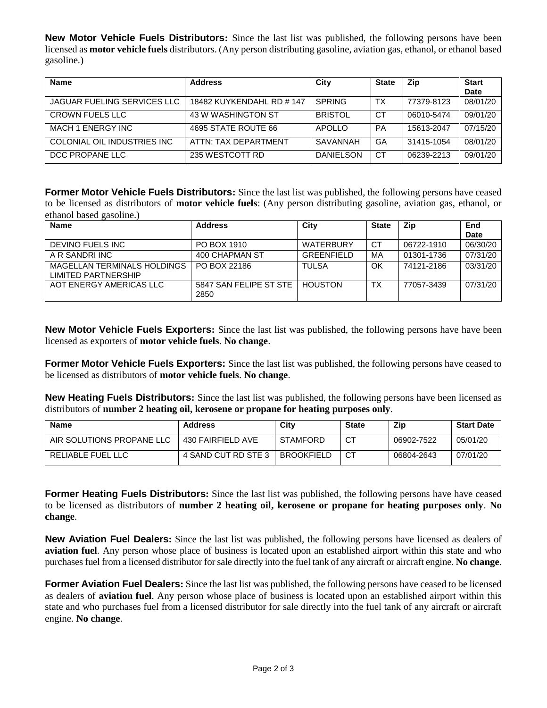**New Motor Vehicle Fuels Distributors:** Since the last list was published, the following persons have been licensed as **motor vehicle fuels** distributors. (Any person distributing gasoline, aviation gas, ethanol, or ethanol based gasoline.)

| <b>Name</b>                        | <b>Address</b>            | City             | <b>State</b> | Zip        | <b>Start</b> |
|------------------------------------|---------------------------|------------------|--------------|------------|--------------|
|                                    |                           |                  |              |            | <b>Date</b>  |
| <b>JAGUAR FUELING SERVICES LLC</b> | 18482 KUYKENDAHL RD # 147 | <b>SPRING</b>    | TX           | 77379-8123 | 08/01/20     |
| <b>CROWN FUELS LLC</b>             | 43 W WASHINGTON ST        | <b>BRISTOL</b>   | СT           | 06010-5474 | 09/01/20     |
| MACH 1 ENERGY INC                  | 4695 STATE ROUTE 66       | APOLLO           | <b>PA</b>    | 15613-2047 | 07/15/20     |
| COLONIAL OIL INDUSTRIES INC        | ATTN: TAX DEPARTMENT      | SAVANNAH         | GA           | 31415-1054 | 08/01/20     |
| DCC PROPANE LLC                    | 235 WESTCOTT RD           | <b>DANIELSON</b> | СT           | 06239-2213 | 09/01/20     |

**Former Motor Vehicle Fuels Distributors:** Since the last list was published, the following persons have ceased to be licensed as distributors of **motor vehicle fuels**: (Any person distributing gasoline, aviation gas, ethanol, or ethanol based gasoline.)

| <b>Name</b>                                        | <b>Address</b>                 | City              | <b>State</b> | Zip        | End         |
|----------------------------------------------------|--------------------------------|-------------------|--------------|------------|-------------|
|                                                    |                                |                   |              |            | <b>Date</b> |
| DEVINO FUELS INC                                   | PO BOX 1910                    | <b>WATERBURY</b>  | СT           | 06722-1910 | 06/30/20    |
| A R SANDRI INC                                     | 400 CHAPMAN ST                 | <b>GREENFIELD</b> | MA           | 01301-1736 | 07/31/20    |
| MAGELLAN TERMINALS HOLDINGS<br>LIMITED PARTNERSHIP | PO BOX 22186                   | <b>TULSA</b>      | OK           | 74121-2186 | 03/31/20    |
| AOT ENERGY AMERICAS LLC                            | 5847 SAN FELIPE ST STE<br>2850 | <b>HOUSTON</b>    | тх           | 77057-3439 | 07/31/20    |

**New Motor Vehicle Fuels Exporters:** Since the last list was published, the following persons have have been licensed as exporters of **motor vehicle fuels**. **No change**.

**Former Motor Vehicle Fuels Exporters:** Since the last list was published, the following persons have ceased to be licensed as distributors of **motor vehicle fuels**. **No change**.

**New Heating Fuels Distributors:** Since the last list was published, the following persons have been licensed as distributors of **number 2 heating oil, kerosene or propane for heating purposes only**.

| <b>Name</b>               | <b>Address</b>      | City              | <b>State</b> | <b>Zip</b> | <b>Start Date</b> |
|---------------------------|---------------------|-------------------|--------------|------------|-------------------|
| AIR SOLUTIONS PROPANE LLC | 430 FAIRFIELD AVE   | <b>STAMFORD</b>   | СT           | 06902-7522 | 05/01/20          |
| RELIABLE FUEL LLC         | 4 SAND CUT RD STE 3 | <b>BROOKFIELD</b> |              | 06804-2643 | 07/01/20          |

**Former Heating Fuels Distributors:** Since the last list was published, the following persons have have ceased to be licensed as distributors of **number 2 heating oil, kerosene or propane for heating purposes only**. **No change**.

**New Aviation Fuel Dealers:** Since the last list was published, the following persons have licensed as dealers of **aviation fuel**. Any person whose place of business is located upon an established airport within this state and who purchases fuel from a licensed distributor for sale directly into the fuel tank of any aircraft or aircraft engine. **No change**.

**Former Aviation Fuel Dealers:** Since the last list was published, the following persons have ceased to be licensed as dealers of **aviation fuel**. Any person whose place of business is located upon an established airport within this state and who purchases fuel from a licensed distributor for sale directly into the fuel tank of any aircraft or aircraft engine. **No change**.